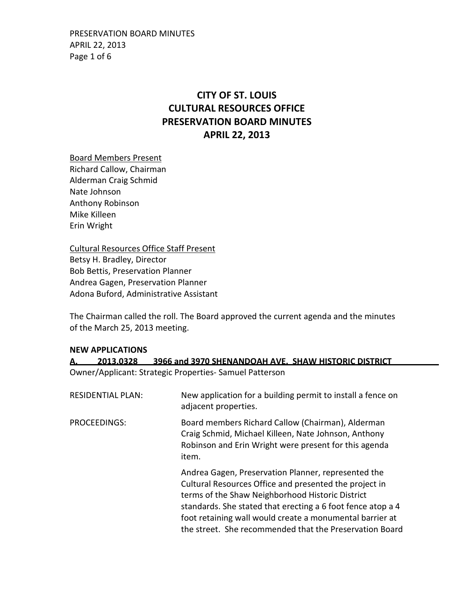# **CITY OF ST. LOUIS CULTURAL RESOURCES OFFICE PRESERVATION BOARD MINUTES APRIL 22, 2013**

Board Members Present Richard Callow, Chairman Alderman Craig Schmid Nate Johnson Anthony Robinson Mike Killeen Erin Wright

Cultural Resources Office Staff Present Betsy H. Bradley, Director Bob Bettis, Preservation Planner Andrea Gagen, Preservation Planner Adona Buford, Administrative Assistant

The Chairman called the roll. The Board approved the current agenda and the minutes of the March 25, 2013 meeting.

#### **NEW APPLICATIONS**

| А.                                                     |                   | 2013.0328 3966 and 3970 SHENANDOAH AVE. SHAW HISTORIC DISTRICT                      |  |  |  |  |
|--------------------------------------------------------|-------------------|-------------------------------------------------------------------------------------|--|--|--|--|
| Owner/Applicant: Strategic Properties-Samuel Patterson |                   |                                                                                     |  |  |  |  |
|                                                        | RESIDENTIAL PLAN: | New application for a building permit to install a fence on<br>adjacent properties. |  |  |  |  |

PROCEEDINGS: Board members Richard Callow (Chairman), Alderman Craig Schmid, Michael Killeen, Nate Johnson, Anthony Robinson and Erin Wright were present for this agenda item.

> Andrea Gagen, Preservation Planner, represented the Cultural Resources Office and presented the project in terms of the Shaw Neighborhood Historic District standards. She stated that erecting a 6 foot fence atop a 4 foot retaining wall would create a monumental barrier at the street. She recommended that the Preservation Board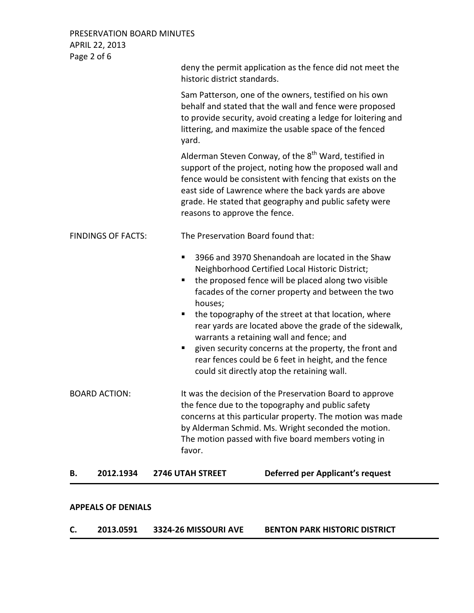PRESERVATION BOARD MINUTES APRIL 22, 2013 Page 2 of 6

| 2012.1934<br>В.           | <b>Deferred per Applicant's request</b><br><b>2746 UTAH STREET</b>                                                                                                                                                                                                                                                                                                                                                                                                                                                                                                              |
|---------------------------|---------------------------------------------------------------------------------------------------------------------------------------------------------------------------------------------------------------------------------------------------------------------------------------------------------------------------------------------------------------------------------------------------------------------------------------------------------------------------------------------------------------------------------------------------------------------------------|
| <b>BOARD ACTION:</b>      | It was the decision of the Preservation Board to approve<br>the fence due to the topography and public safety<br>concerns at this particular property. The motion was made<br>by Alderman Schmid. Ms. Wright seconded the motion.<br>The motion passed with five board members voting in<br>favor.                                                                                                                                                                                                                                                                              |
|                           | 3966 and 3970 Shenandoah are located in the Shaw<br>п<br>Neighborhood Certified Local Historic District;<br>the proposed fence will be placed along two visible<br>п<br>facades of the corner property and between the two<br>houses;<br>the topography of the street at that location, where<br>п<br>rear yards are located above the grade of the sidewalk,<br>warrants a retaining wall and fence; and<br>given security concerns at the property, the front and<br>ш<br>rear fences could be 6 feet in height, and the fence<br>could sit directly atop the retaining wall. |
| <b>FINDINGS OF FACTS:</b> | The Preservation Board found that:                                                                                                                                                                                                                                                                                                                                                                                                                                                                                                                                              |
|                           | Alderman Steven Conway, of the 8 <sup>th</sup> Ward, testified in<br>support of the project, noting how the proposed wall and<br>fence would be consistent with fencing that exists on the<br>east side of Lawrence where the back yards are above<br>grade. He stated that geography and public safety were<br>reasons to approve the fence.                                                                                                                                                                                                                                   |
|                           | Sam Patterson, one of the owners, testified on his own<br>behalf and stated that the wall and fence were proposed<br>to provide security, avoid creating a ledge for loitering and<br>littering, and maximize the usable space of the fenced<br>yard.                                                                                                                                                                                                                                                                                                                           |
|                           | deny the permit application as the fence did not meet the<br>historic district standards.                                                                                                                                                                                                                                                                                                                                                                                                                                                                                       |

### **APPEALS OF DENIALS**

**C. 2013.0591 3324-26 MISSOURI AVE BENTON PARK HISTORIC DISTRICT**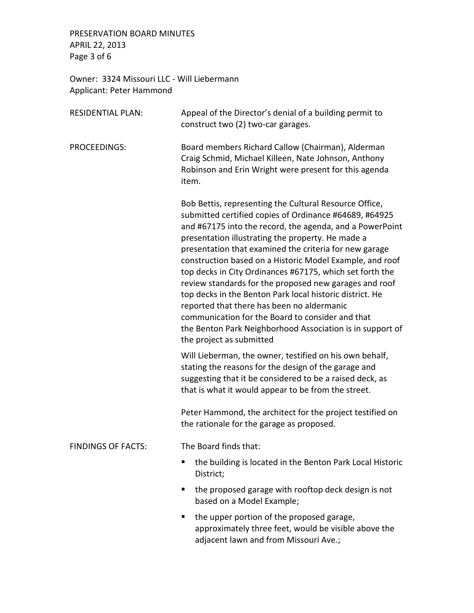PRESERVATION BOARD MINUTES APRIL 22, 2013 Page 3 of 6

Owner: 3324 Missouri LLC - Will Liebermann Applicant: Peter Hammond

| <b>RESIDENTIAL PLAN:</b>  | Appeal of the Director's denial of a building permit to<br>construct two (2) two-car garages.                                                                                                                                                                                                                                                                                                                                                                                                                                                                                                                                                                                                                                        |  |  |
|---------------------------|--------------------------------------------------------------------------------------------------------------------------------------------------------------------------------------------------------------------------------------------------------------------------------------------------------------------------------------------------------------------------------------------------------------------------------------------------------------------------------------------------------------------------------------------------------------------------------------------------------------------------------------------------------------------------------------------------------------------------------------|--|--|
| PROCEEDINGS:              | Board members Richard Callow (Chairman), Alderman<br>Craig Schmid, Michael Killeen, Nate Johnson, Anthony<br>Robinson and Erin Wright were present for this agenda<br>item.                                                                                                                                                                                                                                                                                                                                                                                                                                                                                                                                                          |  |  |
|                           | Bob Bettis, representing the Cultural Resource Office,<br>submitted certified copies of Ordinance #64689, #64925<br>and #67175 into the record, the agenda, and a PowerPoint<br>presentation illustrating the property. He made a<br>presentation that examined the criteria for new garage<br>construction based on a Historic Model Example, and roof<br>top decks in City Ordinances #67175, which set forth the<br>review standards for the proposed new garages and roof<br>top decks in the Benton Park local historic district. He<br>reported that there has been no aldermanic<br>communication for the Board to consider and that<br>the Benton Park Neighborhood Association is in support of<br>the project as submitted |  |  |
|                           | Will Lieberman, the owner, testified on his own behalf,<br>stating the reasons for the design of the garage and<br>suggesting that it be considered to be a raised deck, as<br>that is what it would appear to be from the street.                                                                                                                                                                                                                                                                                                                                                                                                                                                                                                   |  |  |
|                           | Peter Hammond, the architect for the project testified on<br>the rationale for the garage as proposed.                                                                                                                                                                                                                                                                                                                                                                                                                                                                                                                                                                                                                               |  |  |
| <b>FINDINGS OF FACTS:</b> | The Board finds that:                                                                                                                                                                                                                                                                                                                                                                                                                                                                                                                                                                                                                                                                                                                |  |  |
|                           | the building is located in the Benton Park Local Historic<br>п<br>District;                                                                                                                                                                                                                                                                                                                                                                                                                                                                                                                                                                                                                                                          |  |  |
|                           | the proposed garage with rooftop deck design is not<br>based on a Model Example;                                                                                                                                                                                                                                                                                                                                                                                                                                                                                                                                                                                                                                                     |  |  |
|                           | the upper portion of the proposed garage,<br>٠<br>approximately three feet, would be visible above the<br>adjacent lawn and from Missouri Ave.;                                                                                                                                                                                                                                                                                                                                                                                                                                                                                                                                                                                      |  |  |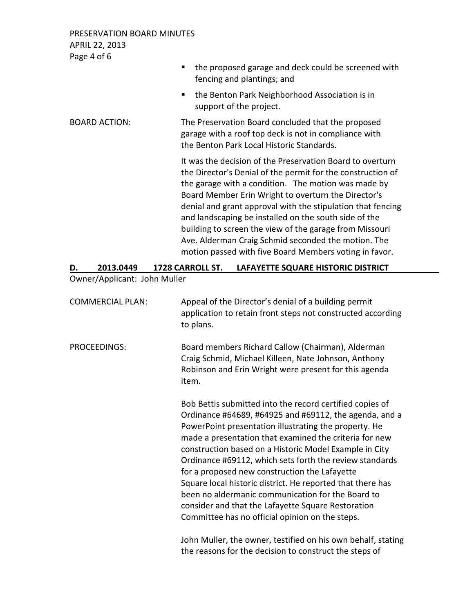PRESERVATION BOARD MINUTES APRIL 22, 2013 Page 4 of 6

|                      | the proposed garage and deck could be screened with<br>٠                                                                                                                                                                                                                                                                                                                                                                                                                                                                                   |
|----------------------|--------------------------------------------------------------------------------------------------------------------------------------------------------------------------------------------------------------------------------------------------------------------------------------------------------------------------------------------------------------------------------------------------------------------------------------------------------------------------------------------------------------------------------------------|
|                      | fencing and plantings; and                                                                                                                                                                                                                                                                                                                                                                                                                                                                                                                 |
|                      | the Benton Park Neighborhood Association is in<br>п.<br>support of the project.                                                                                                                                                                                                                                                                                                                                                                                                                                                            |
| <b>BOARD ACTION:</b> | The Preservation Board concluded that the proposed<br>garage with a roof top deck is not in compliance with<br>the Benton Park Local Historic Standards.                                                                                                                                                                                                                                                                                                                                                                                   |
|                      | It was the decision of the Preservation Board to overturn<br>the Director's Denial of the permit for the construction of<br>the garage with a condition. The motion was made by<br>Board Member Erin Wright to overturn the Director's<br>denial and grant approval with the stipulation that fencing<br>and landscaping be installed on the south side of the<br>building to screen the view of the garage from Missouri<br>Ave. Alderman Craig Schmid seconded the motion. The<br>motion passed with five Board Members voting in favor. |

## **D. 2013.0449 1728 CARROLL ST. LAFAYETTE SQUARE HISTORIC DISTRICT**

## Owner/Applicant: John Muller

| <b>COMMERCIAL PLAN:</b> | Appeal of the Director's denial of a building permit<br>application to retain front steps not constructed according<br>to plans.                                                                                                                                                                                                                                                                                                                                                                                                                                                                                                        |
|-------------------------|-----------------------------------------------------------------------------------------------------------------------------------------------------------------------------------------------------------------------------------------------------------------------------------------------------------------------------------------------------------------------------------------------------------------------------------------------------------------------------------------------------------------------------------------------------------------------------------------------------------------------------------------|
| <b>PROCEEDINGS:</b>     | Board members Richard Callow (Chairman), Alderman<br>Craig Schmid, Michael Killeen, Nate Johnson, Anthony<br>Robinson and Erin Wright were present for this agenda<br>item.                                                                                                                                                                                                                                                                                                                                                                                                                                                             |
|                         | Bob Bettis submitted into the record certified copies of<br>Ordinance #64689, #64925 and #69112, the agenda, and a<br>PowerPoint presentation illustrating the property. He<br>made a presentation that examined the criteria for new<br>construction based on a Historic Model Example in City<br>Ordinance #69112, which sets forth the review standards<br>for a proposed new construction the Lafayette<br>Square local historic district. He reported that there has<br>been no aldermanic communication for the Board to<br>consider and that the Lafayette Square Restoration<br>Committee has no official opinion on the steps. |
|                         | John Muller, the owner, testified on his own behalf, stating<br>the reasons for the decision to construct the steps of                                                                                                                                                                                                                                                                                                                                                                                                                                                                                                                  |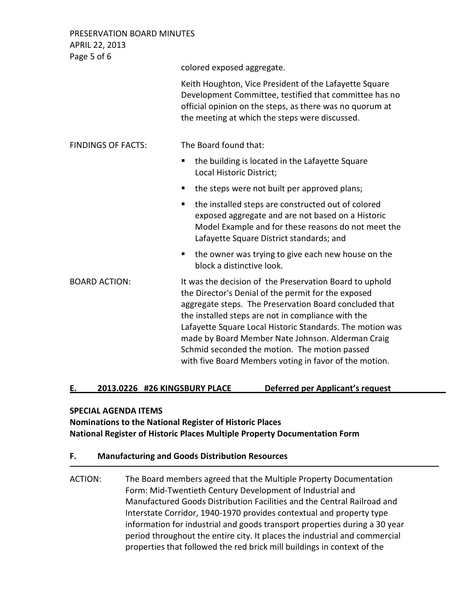PRESERVATION BOARD MINUTES APRIL 22, 2013

Page 5 of 6 colored exposed aggregate. Keith Houghton, Vice President of the Lafayette Square Development Committee, testified that committee has no official opinion on the steps, as there was no quorum at the meeting at which the steps were discussed. FINDINGS OF FACTS: The Board found that: ■ the building is located in the Lafayette Square Local Historic District; • the steps were not built per approved plans; ■ the installed steps are constructed out of colored exposed aggregate and are not based on a Historic Model Example and for these reasons do not meet the Lafayette Square District standards; and  $\blacksquare$  the owner was trying to give each new house on the block a distinctive look. BOARD ACTION: It was the decision of the Preservation Board to uphold the Director's Denial of the permit for the exposed aggregate steps. The Preservation Board concluded that the installed steps are not in compliance with the Lafayette Square Local Historic Standards. The motion was made by Board Member Nate Johnson. Alderman Craig Schmid seconded the motion. The motion passed with five Board Members voting in favor of the motion.

## **E. 2013.0226 #26 KINGSBURY PLACE Deferred per Applicant's request**

### **SPECIAL AGENDA ITEMS**

## **Nominations to the National Register of Historic Places National Register of Historic Places Multiple Property Documentation Form**

## **F. Manufacturing and Goods Distribution Resources**

ACTION: The Board members agreed that the Multiple Property Documentation Form: Mid-Twentieth Century Development of Industrial and Manufactured Goods Distribution Facilities and the Central Railroad and Interstate Corridor, 1940-1970 provides contextual and property type information for industrial and goods transport properties during a 30 year period throughout the entire city. It places the industrial and commercial properties that followed the red brick mill buildings in context of the